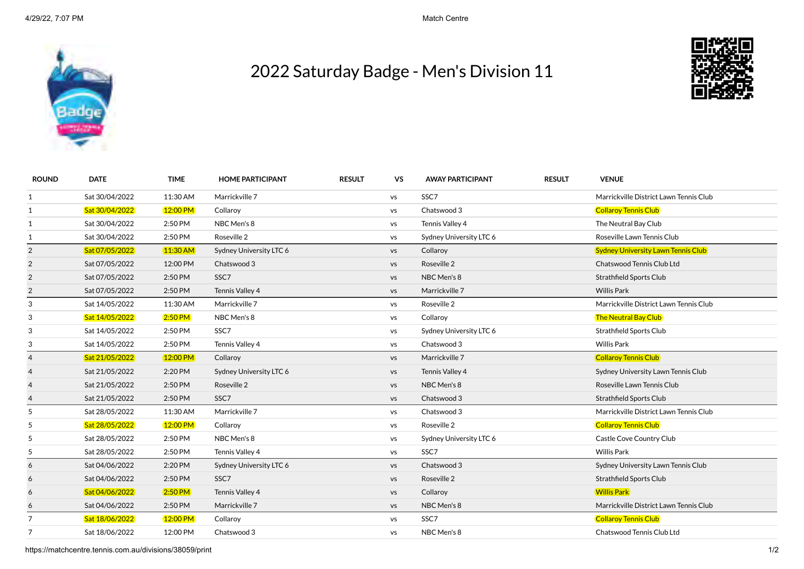

## 2022 Saturday Badge - Men's Division 11



| <b>ROUND</b>   | <b>DATE</b>    | <b>TIME</b> | <b>HOME PARTICIPANT</b> | <b>RESULT</b> | <b>VS</b> | <b>AWAY PARTICIPANT</b> | <b>RESULT</b> | <b>VENUE</b>                              |
|----------------|----------------|-------------|-------------------------|---------------|-----------|-------------------------|---------------|-------------------------------------------|
| 1              | Sat 30/04/2022 | 11:30 AM    | Marrickville 7          |               | VS        | SSC7                    |               | Marrickville District Lawn Tennis Club    |
| $\mathbf{1}$   | Sat 30/04/2022 | 12:00 PM    | Collaroy                |               | VS        | Chatswood 3             |               | <b>Collaroy Tennis Club</b>               |
| 1              | Sat 30/04/2022 | 2:50 PM     | NBC Men's 8             |               | VS        | Tennis Valley 4         |               | The Neutral Bay Club                      |
| 1              | Sat 30/04/2022 | 2:50 PM     | Roseville 2             |               | <b>VS</b> | Sydney University LTC 6 |               | Roseville Lawn Tennis Club                |
| $\overline{2}$ | Sat 07/05/2022 | $11:30$ AM  | Sydney University LTC 6 |               | <b>VS</b> | Collaroy                |               | <b>Sydney University Lawn Tennis Club</b> |
| $\overline{2}$ | Sat 07/05/2022 | 12:00 PM    | Chatswood 3             |               | <b>VS</b> | Roseville 2             |               | Chatswood Tennis Club Ltd                 |
| $\overline{2}$ | Sat 07/05/2022 | 2:50 PM     | SSC7                    |               | <b>VS</b> | NBC Men's 8             |               | Strathfield Sports Club                   |
| $\overline{2}$ | Sat 07/05/2022 | 2:50 PM     | Tennis Valley 4         |               | <b>VS</b> | Marrickville 7          |               | <b>Willis Park</b>                        |
| 3              | Sat 14/05/2022 | 11:30 AM    | Marrickville 7          |               | <b>VS</b> | Roseville 2             |               | Marrickville District Lawn Tennis Club    |
| $\sqrt{3}$     | Sat 14/05/2022 | $2:50$ PM   | NBC Men's 8             |               | VS        | Collaroy                |               | <b>The Neutral Bay Club</b>               |
| 3              | Sat 14/05/2022 | 2:50 PM     | SSC7                    |               | <b>VS</b> | Sydney University LTC 6 |               | <b>Strathfield Sports Club</b>            |
| 3              | Sat 14/05/2022 | 2:50 PM     | Tennis Valley 4         |               | VS        | Chatswood 3             |               | <b>Willis Park</b>                        |
| $\overline{a}$ | Sat 21/05/2022 | 12:00 PM    | Collaroy                |               | <b>VS</b> | Marrickville 7          |               | <b>Collaroy Tennis Club</b>               |
| $\overline{4}$ | Sat 21/05/2022 | 2:20 PM     | Sydney University LTC 6 |               | <b>VS</b> | Tennis Valley 4         |               | Sydney University Lawn Tennis Club        |
| $\overline{4}$ | Sat 21/05/2022 | 2:50 PM     | Roseville 2             |               | <b>VS</b> | NBC Men's 8             |               | Roseville Lawn Tennis Club                |
| $\overline{4}$ | Sat 21/05/2022 | 2:50 PM     | SSC7                    |               | <b>VS</b> | Chatswood 3             |               | <b>Strathfield Sports Club</b>            |
| 5              | Sat 28/05/2022 | 11:30 AM    | Marrickville 7          |               | <b>VS</b> | Chatswood 3             |               | Marrickville District Lawn Tennis Club    |
| 5              | Sat 28/05/2022 | 12:00 PM    | Collaroy                |               | VS        | Roseville 2             |               | <b>Collaroy Tennis Club</b>               |
| 5              | Sat 28/05/2022 | 2:50 PM     | NBC Men's 8             |               | <b>VS</b> | Sydney University LTC 6 |               | Castle Cove Country Club                  |
| 5              | Sat 28/05/2022 | 2:50 PM     | Tennis Valley 4         |               | <b>VS</b> | SSC7                    |               | <b>Willis Park</b>                        |
| 6              | Sat 04/06/2022 | 2:20 PM     | Sydney University LTC 6 |               | <b>VS</b> | Chatswood 3             |               | Sydney University Lawn Tennis Club        |
| 6              | Sat 04/06/2022 | 2:50 PM     | SSC7                    |               | <b>VS</b> | Roseville 2             |               | <b>Strathfield Sports Club</b>            |
| 6              | Sat 04/06/2022 | $2:50$ PM   | Tennis Valley 4         |               | <b>VS</b> | Collaroy                |               | <b>Willis Park</b>                        |
| 6              | Sat 04/06/2022 | 2:50 PM     | Marrickville 7          |               | <b>VS</b> | NBC Men's 8             |               | Marrickville District Lawn Tennis Club    |
| $\overline{7}$ | Sat 18/06/2022 | 12:00 PM    | Collaroy                |               | VS        | SSC7                    |               | <b>Collaroy Tennis Club</b>               |
| 7              | Sat 18/06/2022 | 12:00 PM    | Chatswood 3             |               | <b>VS</b> | NBC Men's 8             |               | Chatswood Tennis Club Ltd                 |